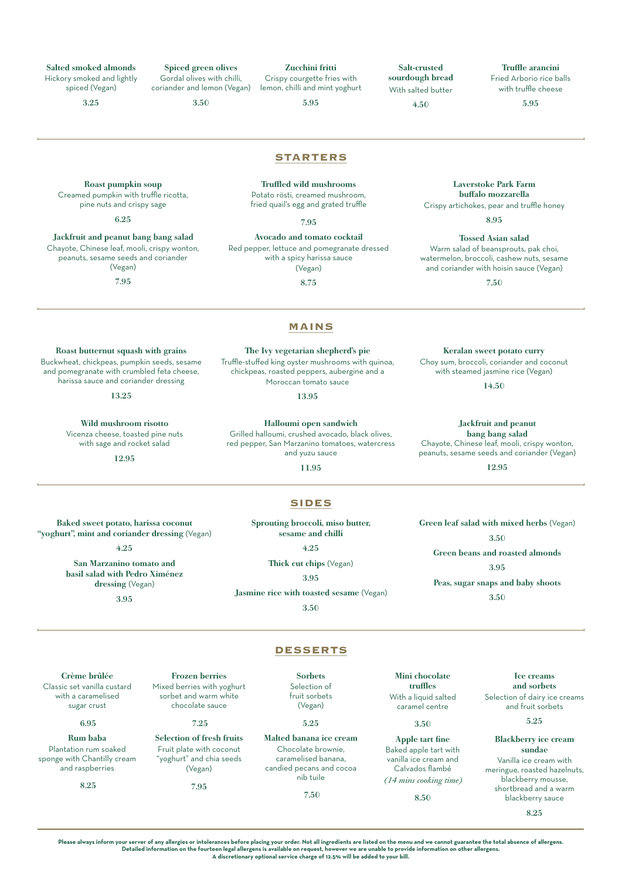Salted smoked almonds

Hickory smoked and lightly spiced (Vegan)

3.25

Spiced green olives Gordal olives with chilli, coriander and lemon (Vegan)

3.50

Crispy courgette fries with lemon, chilli and mint yoghurt

5.95

Zucchini fritti

Salt-crusted sourdough bread With salted butter

4.50

Truffle arancini Fried Arborio rice balls with truffle cheese

5.95

Laverstoke Park Farm buffalo mozzarella Crispy artichokes, pear and truffle honey 8.95 Tossed Asian salad Warm salad of beansprouts, pak choi, watermelon, broccoli, cashew nuts, sesame and coriander with hoisin sauce (Vegan) 7.50

Jackfruit and peanut bang bang salad Chayote, Chinese leaf, mooli, crispy wonton, peanuts, sesame seeds and coriander (Vegan) 12.95

Green leaf salad with mixed herbs (Vegan) 3.50

Keralan sweet potato curry Choy sum, broccoli, coriander and coconut with steamed jasmine rice (Vegan) 14.50

Roast pumpkin soup Creamed pumpkin with truffle ricotta, pine nuts and crispy sage

6.25

Jackfruit and peanut bang bang salad Chayote, Chinese leaf, mooli, crispy wonton, peanuts, sesame seeds and coriander (Vegan)

7.95

**STARTERS** Truffled wild mushrooms

Potato rösti, creamed mushroom, fried quail's egg and grated truffle

7.95

Avocado and tomato cocktail Red pepper, lettuce and pomegranate dressed with a spicy harissa sauce (Vegan)

8.75

## **MAINS**

Roast butternut squash with grains Buckwheat, chickpeas, pumpkin seeds, sesame and pomegranate with crumbled feta cheese, harissa sauce and coriander dressing

13.25

Wild mushroom risotto Vicenza cheese, toasted pine nuts with sage and rocket salad

12.95

Baked sweet potato, harissa coconut "yoghurt", mint and coriander dressing (Vegan) 4.25 San Marzanino tomato and basil salad with Pedro Ximénez dressing (Vegan) 3.95

The Ivy vegetarian shepherd's pie Truffle-stuffed king oyster mushrooms with quinoa,

chickpeas, roasted peppers, aubergine and a Moroccan tomato sauce

13.95

Halloumi open sandwich

Grilled halloumi, crushed avocado, black olives, red pepper, San Marzanino tomatoes, watercress and yuzu sauce

11.95

## **SIDES**

Sprouting broccoli, miso butter, sesame and chilli

4.25

Thick cut chips (Vegan)

Jasmine rice with toasted sesame (Vegan)

3.50

Green beans and roasted almonds 3.95 Peas, sugar snaps and baby shoots 3.50

Crème brûlée Classic set vanilla custard with a caramelised sugar crust

6.95

Rum baba Plantation rum soaked sponge with Chantilly cream and raspberries

8.25

Frozen berries Mixed berries with yoghurt sorbet and warm white chocolate sauce

7.25

Selection of fresh fruits Fruit plate with coconut "yoghurt" and chia seeds

7.95

(Vegan)

7.50

Mini chocolate truffles With a liquid salted

caramel centre 3.50

Apple tart fine Baked apple tart with

vanilla ice cream and Calvados flambé *(14 mins cooking time)* 

8.50

Ice creams and sorbets Selection of dairy ice creams and fruit sorbets

5.25

Blackberry ice cream sundae Vanilla ice cream with meringue, roasted hazelnuts, blackberry mousse,

shortbread and a warm blackberry sauce

8.25

**Please always inform your server of any allergies or intolerances before placing your order. Not all ingredients are listed on the menu and we cannot guarantee the total absence of allergens.**  Detailed information on the fourteen legal allergens is available on request, however we are unable to provide information on other allergens.<br>A discretionary optional service charge of 12.5% will be added to your bill.

## 3.95

## **DESSERTS**

Sorbets Selection of fruit sorbets (Vegan) 5.25 Malted banana ice cream Chocolate brownie, caramelised banana, candied pecans and cocoa nib tuile